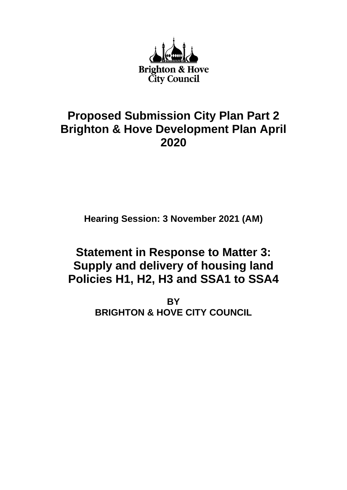

## **Proposed Submission City Plan Part 2 Brighton & Hove Development Plan April 2020**

**Hearing Session: 3 November 2021 (AM)**

# **Statement in Response to Matter 3: Supply and delivery of housing land Policies H1, H2, H3 and SSA1 to SSA4**

**BY BRIGHTON & HOVE CITY COUNCIL**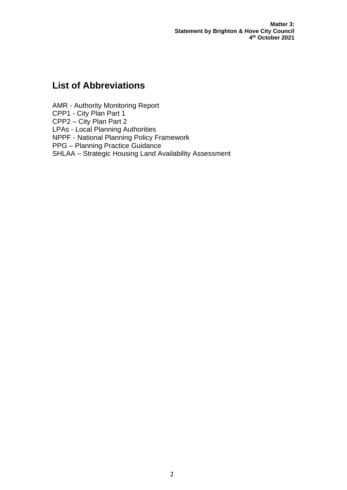**Matter 3: Statement by Brighton & Hove City Council 4 th October 2021**

### **List of Abbreviations**

AMR - Authority Monitoring Report CPP1 - City Plan Part 1 CPP2 – City Plan Part 2 LPAs - Local Planning Authorities NPPF - National Planning Policy Framework PPG – Planning Practice Guidance SHLAA – Strategic Housing Land Availability Assessment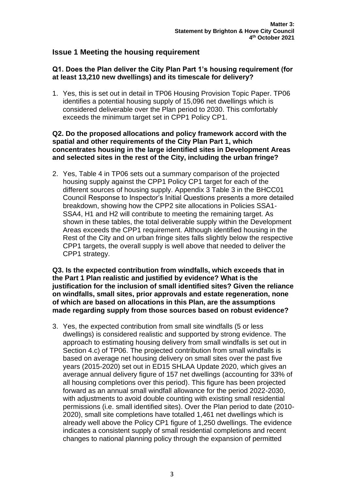### **Issue 1 Meeting the housing requirement**

#### **Q1. Does the Plan deliver the City Plan Part 1's housing requirement (for at least 13,210 new dwellings) and its timescale for delivery?**

1. Yes, this is set out in detail in TP06 Housing Provision Topic Paper. TP06 identifies a potential housing supply of 15,096 net dwellings which is considered deliverable over the Plan period to 2030. This comfortably exceeds the minimum target set in CPP1 Policy CP1.

#### **Q2. Do the proposed allocations and policy framework accord with the spatial and other requirements of the City Plan Part 1, which concentrates housing in the large identified sites in Development Areas and selected sites in the rest of the City, including the urban fringe?**

2. Yes, Table 4 in TP06 sets out a summary comparison of the projected housing supply against the CPP1 Policy CP1 target for each of the different sources of housing supply. Appendix 3 Table 3 in the BHCC01 Council Response to Inspector's Initial Questions presents a more detailed breakdown, showing how the CPP2 site allocations in Policies SSA1- SSA4, H1 and H2 will contribute to meeting the remaining target. As shown in these tables, the total deliverable supply within the Development Areas exceeds the CPP1 requirement. Although identified housing in the Rest of the City and on urban fringe sites falls slightly below the respective CPP1 targets, the overall supply is well above that needed to deliver the CPP1 strategy.

**Q3. Is the expected contribution from windfalls, which exceeds that in the Part 1 Plan realistic and justified by evidence? What is the justification for the inclusion of small identified sites? Given the reliance on windfalls, small sites, prior approvals and estate regeneration, none of which are based on allocations in this Plan, are the assumptions made regarding supply from those sources based on robust evidence?** 

3. Yes, the expected contribution from small site windfalls (5 or less dwellings) is considered realistic and supported by strong evidence. The approach to estimating housing delivery from small windfalls is set out in Section 4.c) of TP06. The projected contribution from small windfalls is based on average net housing delivery on small sites over the past five years (2015-2020) set out in ED15 SHLAA Update 2020, which gives an average annual delivery figure of 157 net dwellings (accounting for 33% of all housing completions over this period). This figure has been projected forward as an annual small windfall allowance for the period 2022-2030, with adjustments to avoid double counting with existing small residential permissions (i.e. small identified sites). Over the Plan period to date (2010- 2020), small site completions have totalled 1,461 net dwellings which is already well above the Policy CP1 figure of 1,250 dwellings. The evidence indicates a consistent supply of small residential completions and recent changes to national planning policy through the expansion of permitted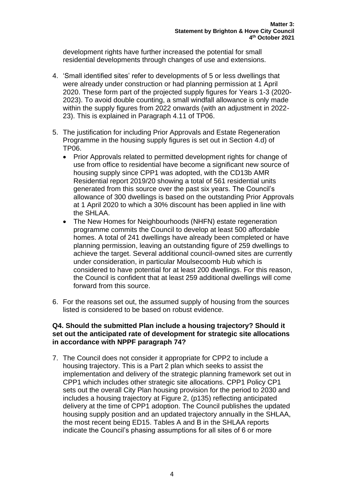development rights have further increased the potential for small residential developments through changes of use and extensions.

- 4. 'Small identified sites' refer to developments of 5 or less dwellings that were already under construction or had planning permission at 1 April 2020. These form part of the projected supply figures for Years 1-3 (2020- 2023). To avoid double counting, a small windfall allowance is only made within the supply figures from 2022 onwards (with an adjustment in 2022- 23). This is explained in Paragraph 4.11 of TP06.
- 5. The justification for including Prior Approvals and Estate Regeneration Programme in the housing supply figures is set out in Section 4.d) of TP06.
	- Prior Approvals related to permitted development rights for change of use from office to residential have become a significant new source of housing supply since CPP1 was adopted, with the CD13b AMR Residential report 2019/20 showing a total of 561 residential units generated from this source over the past six years. The Council's allowance of 300 dwellings is based on the outstanding Prior Approvals at 1 April 2020 to which a 30% discount has been applied in line with the SHLAA.
	- The New Homes for Neighbourhoods (NHFN) estate regeneration programme commits the Council to develop at least 500 affordable homes. A total of 241 dwellings have already been completed or have planning permission, leaving an outstanding figure of 259 dwellings to achieve the target. Several additional council-owned sites are currently under consideration, in particular Moulsecoomb Hub which is considered to have potential for at least 200 dwellings. For this reason, the Council is confident that at least 259 additional dwellings will come forward from this source.
- 6. For the reasons set out, the assumed supply of housing from the sources listed is considered to be based on robust evidence.

#### **Q4. Should the submitted Plan include a housing trajectory? Should it set out the anticipated rate of development for strategic site allocations in accordance with NPPF paragraph 74?**

7. The Council does not consider it appropriate for CPP2 to include a housing trajectory. This is a Part 2 plan which seeks to assist the implementation and delivery of the strategic planning framework set out in CPP1 which includes other strategic site allocations. CPP1 Policy CP1 sets out the overall City Plan housing provision for the period to 2030 and includes a housing trajectory at Figure 2, (p135) reflecting anticipated delivery at the time of CPP1 adoption. The Council publishes the updated housing supply position and an updated trajectory annually in the SHLAA, the most recent being ED15. Tables A and B in the SHLAA reports indicate the Council's phasing assumptions for all sites of 6 or more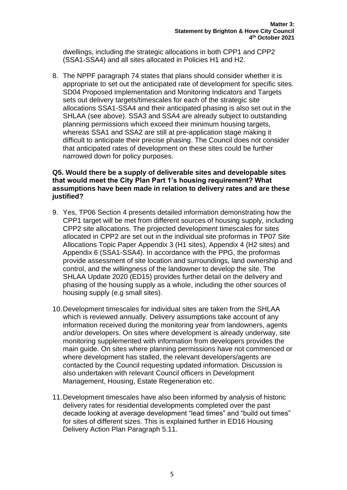dwellings, including the strategic allocations in both CPP1 and CPP2 (SSA1-SSA4) and all sites allocated in Policies H1 and H2.

8. The NPPF paragraph 74 states that plans should consider whether it is appropriate to set out the anticipated rate of development for specific sites. SD04 Proposed Implementation and Monitoring Indicators and Targets sets out delivery targets/timescales for each of the strategic site allocations SSA1-SSA4 and their anticipated phasing is also set out in the SHLAA (see above). SSA3 and SSA4 are already subject to outstanding planning permissions which exceed their minimum housing targets, whereas SSA1 and SSA2 are still at pre-application stage making it difficult to anticipate their precise phasing. The Council does not consider that anticipated rates of development on these sites could be further narrowed down for policy purposes.

#### **Q5. Would there be a supply of deliverable sites and developable sites that would meet the City Plan Part 1's housing requirement? What assumptions have been made in relation to delivery rates and are these justified?**

- 9. Yes, TP06 Section 4 presents detailed information demonstrating how the CPP1 target will be met from different sources of housing supply, including CPP2 site allocations. The projected development timescales for sites allocated in CPP2 are set out in the individual site proformas in TP07 Site Allocations Topic Paper Appendix 3 (H1 sites), Appendix 4 (H2 sites) and Appendix 6 (SSA1-SSA4). In accordance with the PPG, the proformas provide assessment of site location and surroundings, land ownership and control, and the willingness of the landowner to develop the site. The SHLAA Update 2020 (ED15) provides further detail on the delivery and phasing of the housing supply as a whole, including the other sources of housing supply (e.g small sites).
- 10.Development timescales for individual sites are taken from the SHLAA which is reviewed annually. Delivery assumptions take account of any information received during the monitoring year from landowners, agents and/or developers. On sites where development is already underway, site monitoring supplemented with information from developers provides the main guide. On sites where planning permissions have not commenced or where development has stalled, the relevant developers/agents are contacted by the Council requesting updated information. Discussion is also undertaken with relevant Council officers in Development Management, Housing, Estate Regeneration etc.
- 11.Development timescales have also been informed by analysis of historic delivery rates for residential developments completed over the past decade looking at average development "lead times" and "build out times" for sites of different sizes. This is explained further in ED16 Housing Delivery Action Plan Paragraph 5.11.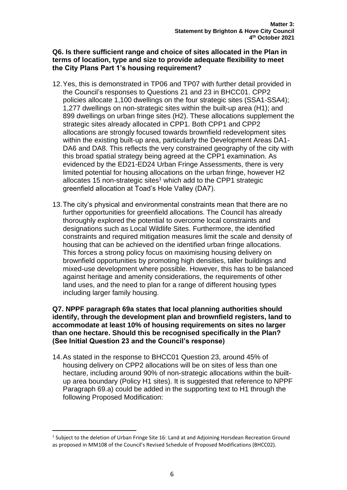**Q6. Is there sufficient range and choice of sites allocated in the Plan in terms of location, type and size to provide adequate flexibility to meet the City Plans Part 1's housing requirement?** 

- 12.Yes, this is demonstrated in TP06 and TP07 with further detail provided in the Council's responses to Questions 21 and 23 in BHCC01. CPP2 policies allocate 1,100 dwellings on the four strategic sites (SSA1-SSA4); 1,277 dwellings on non-strategic sites within the built-up area (H1); and 899 dwellings on urban fringe sites (H2). These allocations supplement the strategic sites already allocated in CPP1. Both CPP1 and CPP2 allocations are strongly focused towards brownfield redevelopment sites within the existing built-up area, particularly the Development Areas DA1- DA6 and DA8. This reflects the very constrained geography of the city with this broad spatial strategy being agreed at the CPP1 examination. As evidenced by the ED21-ED24 Urban Fringe Assessments, there is very limited potential for housing allocations on the urban fringe, however H2 allocates 15 non-strategic sites<sup>1</sup> which add to the CPP1 strategic greenfield allocation at Toad's Hole Valley (DA7).
- 13.The city's physical and environmental constraints mean that there are no further opportunities for greenfield allocations. The Council has already thoroughly explored the potential to overcome local constraints and designations such as Local Wildlife Sites. Furthermore, the identified constraints and required mitigation measures limit the scale and density of housing that can be achieved on the identified urban fringe allocations. This forces a strong policy focus on maximising housing delivery on brownfield opportunities by promoting high densities, taller buildings and mixed-use development where possible. However, this has to be balanced against heritage and amenity considerations, the requirements of other land uses, and the need to plan for a range of different housing types including larger family housing.

**Q7. NPPF paragraph 69a states that local planning authorities should identify, through the development plan and brownfield registers, land to accommodate at least 10% of housing requirements on sites no larger than one hectare. Should this be recognised specifically in the Plan? (See Initial Question 23 and the Council's response)** 

14.As stated in the response to BHCC01 Question 23, around 45% of housing delivery on CPP2 allocations will be on sites of less than one hectare, including around 90% of non-strategic allocations within the builtup area boundary (Policy H1 sites). It is suggested that reference to NPPF Paragraph 69.a) could be added in the supporting text to H1 through the following Proposed Modification:

 $<sup>1</sup>$  Subject to the deletion of Urban Fringe Site 16: Land at and Adjoining Horsdean Recreation Ground</sup> as proposed in MM108 of the Council's Revised Schedule of Proposed Modifications (BHCC02).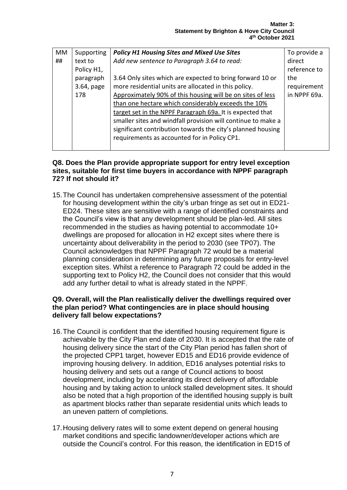| МM | Supporting | <b>Policy H1 Housing Sites and Mixed Use Sites</b>           | To provide a |
|----|------------|--------------------------------------------------------------|--------------|
| ## | text to    | Add new sentence to Paragraph 3.64 to read:                  | direct       |
|    | Policy H1, |                                                              | reference to |
|    | paragraph  | 3.64 Only sites which are expected to bring forward 10 or    | the          |
|    | 3.64, page | more residential units are allocated in this policy.         | requirement  |
|    | 178        | Approximately 90% of this housing will be on sites of less   | in NPPF 69a. |
|    |            | than one hectare which considerably exceeds the 10%          |              |
|    |            | target set in the NPPF Paragraph 69a. It is expected that    |              |
|    |            | smaller sites and windfall provision will continue to make a |              |
|    |            | significant contribution towards the city's planned housing  |              |
|    |            | requirements as accounted for in Policy CP1.                 |              |
|    |            |                                                              |              |

#### **Q8. Does the Plan provide appropriate support for entry level exception sites, suitable for first time buyers in accordance with NPPF paragraph 72? If not should it?**

15.The Council has undertaken comprehensive assessment of the potential for housing development within the city's urban fringe as set out in ED21- ED24. These sites are sensitive with a range of identified constraints and the Council's view is that any development should be plan-led. All sites recommended in the studies as having potential to accommodate 10+ dwellings are proposed for allocation in H2 except sites where there is uncertainty about deliverability in the period to 2030 (see TP07). The Council acknowledges that NPPF Paragraph 72 would be a material planning consideration in determining any future proposals for entry-level exception sites. Whilst a reference to Paragraph 72 could be added in the supporting text to Policy H2, the Council does not consider that this would add any further detail to what is already stated in the NPPF.

#### **Q9. Overall, will the Plan realistically deliver the dwellings required over the plan period? What contingencies are in place should housing delivery fall below expectations?**

- 16.The Council is confident that the identified housing requirement figure is achievable by the City Plan end date of 2030. It is accepted that the rate of housing delivery since the start of the City Plan period has fallen short of the projected CPP1 target, however ED15 and ED16 provide evidence of improving housing delivery. In addition, ED16 analyses potential risks to housing delivery and sets out a range of Council actions to boost development, including by accelerating its direct delivery of affordable housing and by taking action to unlock stalled development sites. It should also be noted that a high proportion of the identified housing supply is built as apartment blocks rather than separate residential units which leads to an uneven pattern of completions.
- 17.Housing delivery rates will to some extent depend on general housing market conditions and specific landowner/developer actions which are outside the Council's control. For this reason, the identification in ED15 of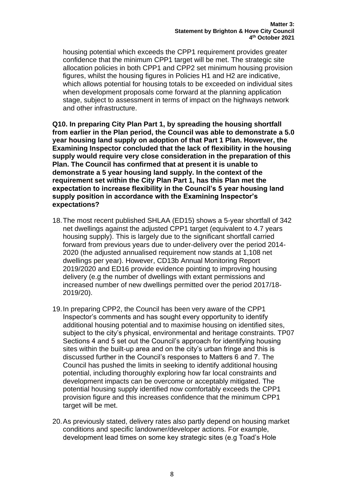housing potential which exceeds the CPP1 requirement provides greater confidence that the minimum CPP1 target will be met. The strategic site allocation policies in both CPP1 and CPP2 set minimum housing provision figures, whilst the housing figures in Policies H1 and H2 are indicative, which allows potential for housing totals to be exceeded on individual sites when development proposals come forward at the planning application stage, subject to assessment in terms of impact on the highways network and other infrastructure.

**Q10. In preparing City Plan Part 1, by spreading the housing shortfall from earlier in the Plan period, the Council was able to demonstrate a 5.0 year housing land supply on adoption of that Part 1 Plan. However, the Examining Inspector concluded that the lack of flexibility in the housing supply would require very close consideration in the preparation of this Plan. The Council has confirmed that at present it is unable to demonstrate a 5 year housing land supply. In the context of the requirement set within the City Plan Part 1, has this Plan met the expectation to increase flexibility in the Council's 5 year housing land supply position in accordance with the Examining Inspector's expectations?**

- 18.The most recent published SHLAA (ED15) shows a 5-year shortfall of 342 net dwellings against the adjusted CPP1 target (equivalent to 4.7 years housing supply). This is largely due to the significant shortfall carried forward from previous years due to under-delivery over the period 2014- 2020 (the adjusted annualised requirement now stands at 1,108 net dwellings per year). However, CD13b Annual Monitoring Report 2019/2020 and ED16 provide evidence pointing to improving housing delivery (e.g the number of dwellings with extant permissions and increased number of new dwellings permitted over the period 2017/18- 2019/20).
- 19.In preparing CPP2, the Council has been very aware of the CPP1 Inspector's comments and has sought every opportunity to identify additional housing potential and to maximise housing on identified sites, subject to the city's physical, environmental and heritage constraints. TP07 Sections 4 and 5 set out the Council's approach for identifying housing sites within the built-up area and on the city's urban fringe and this is discussed further in the Council's responses to Matters 6 and 7. The Council has pushed the limits in seeking to identify additional housing potential, including thoroughly exploring how far local constraints and development impacts can be overcome or acceptably mitigated. The potential housing supply identified now comfortably exceeds the CPP1 provision figure and this increases confidence that the minimum CPP1 target will be met.
- 20.As previously stated, delivery rates also partly depend on housing market conditions and specific landowner/developer actions. For example, development lead times on some key strategic sites (e.g Toad's Hole